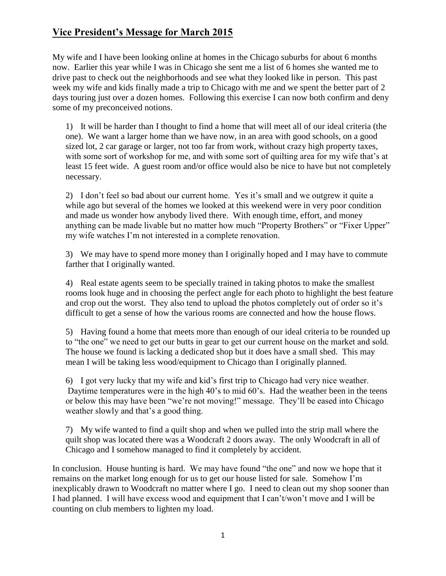## **Vice President's Message for March 2015**

My wife and I have been looking online at homes in the Chicago suburbs for about 6 months now. Earlier this year while I was in Chicago she sent me a list of 6 homes she wanted me to drive past to check out the neighborhoods and see what they looked like in person. This past week my wife and kids finally made a trip to Chicago with me and we spent the better part of 2 days touring just over a dozen homes. Following this exercise I can now both confirm and deny some of my preconceived notions.

1) It will be harder than I thought to find a home that will meet all of our ideal criteria (the one). We want a larger home than we have now, in an area with good schools, on a good sized lot, 2 car garage or larger, not too far from work, without crazy high property taxes, with some sort of workshop for me, and with some sort of quilting area for my wife that's at least 15 feet wide. A guest room and/or office would also be nice to have but not completely necessary.

2) I don't feel so bad about our current home. Yes it's small and we outgrew it quite a while ago but several of the homes we looked at this weekend were in very poor condition and made us wonder how anybody lived there. With enough time, effort, and money anything can be made livable but no matter how much "Property Brothers" or "Fixer Upper" my wife watches I'm not interested in a complete renovation.

3) We may have to spend more money than I originally hoped and I may have to commute farther that I originally wanted.

4) Real estate agents seem to be specially trained in taking photos to make the smallest rooms look huge and in choosing the perfect angle for each photo to highlight the best feature and crop out the worst. They also tend to upload the photos completely out of order so it's difficult to get a sense of how the various rooms are connected and how the house flows.

5) Having found a home that meets more than enough of our ideal criteria to be rounded up to "the one" we need to get our butts in gear to get our current house on the market and sold. The house we found is lacking a dedicated shop but it does have a small shed. This may mean I will be taking less wood/equipment to Chicago than I originally planned.

6) I got very lucky that my wife and kid's first trip to Chicago had very nice weather. Daytime temperatures were in the high 40's to mid 60's. Had the weather been in the teens or below this may have been "we're not moving!" message. They'll be eased into Chicago weather slowly and that's a good thing.

7) My wife wanted to find a quilt shop and when we pulled into the strip mall where the quilt shop was located there was a Woodcraft 2 doors away. The only Woodcraft in all of Chicago and I somehow managed to find it completely by accident.

In conclusion. House hunting is hard. We may have found "the one" and now we hope that it remains on the market long enough for us to get our house listed for sale. Somehow I'm inexplicably drawn to Woodcraft no matter where I go. I need to clean out my shop sooner than I had planned. I will have excess wood and equipment that I can't/won't move and I will be counting on club members to lighten my load.